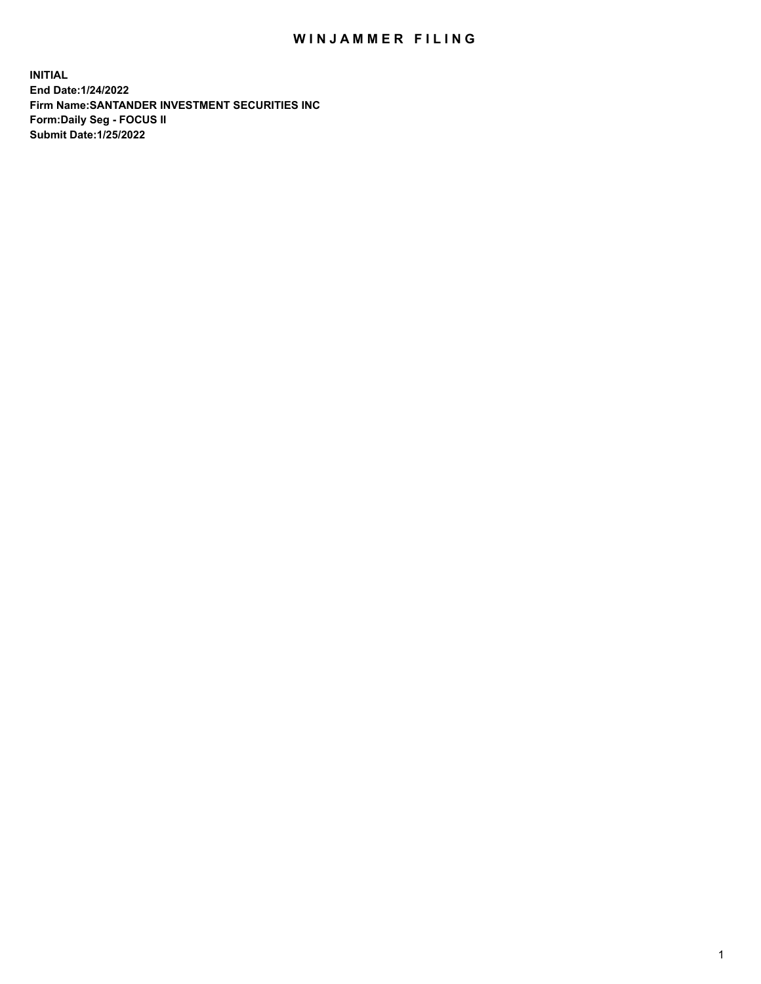## WIN JAMMER FILING

**INITIAL End Date:1/24/2022 Firm Name:SANTANDER INVESTMENT SECURITIES INC Form:Daily Seg - FOCUS II Submit Date:1/25/2022**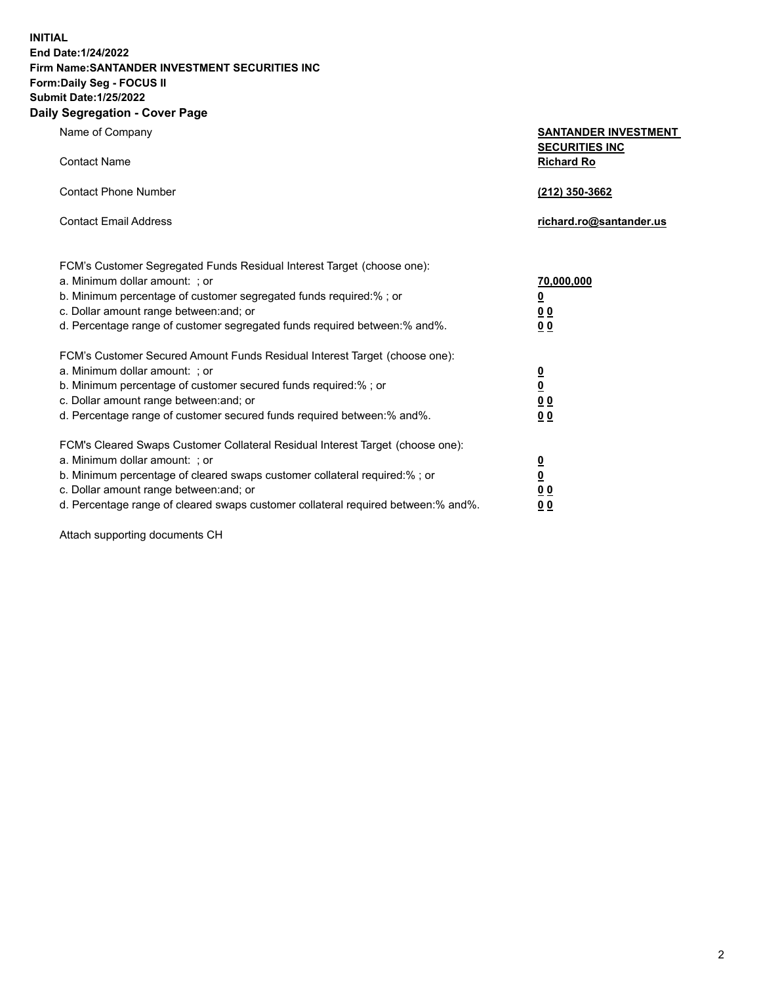**INITIAL End Date:1/24/2022 Firm Name:SANTANDER INVESTMENT SECURITIES INC Form:Daily Seg - FOCUS II Submit Date:1/25/2022 Daily Segregation - Cover Page**

|  |  |  |  | Name of Company |  |  |
|--|--|--|--|-----------------|--|--|
|--|--|--|--|-----------------|--|--|

| Name of Company     | <b>SANTANDER INVESTMENT</b> |
|---------------------|-----------------------------|
|                     | <b>SECURITIES INC</b>       |
| <b>Contact Name</b> | <b>Richard Ro</b>           |

| Contact Phone Number                                                                                                                                                                                                                                                                                      | (212) 350-3662                                                        |
|-----------------------------------------------------------------------------------------------------------------------------------------------------------------------------------------------------------------------------------------------------------------------------------------------------------|-----------------------------------------------------------------------|
| <b>Contact Fmail Address</b>                                                                                                                                                                                                                                                                              | richard.ro@santander.us                                               |
| FCM's Customer Segregated Funds Residual Interest Target (choose one):<br>a. Minimum dollar amount: ; or<br>b. Minimum percentage of customer segregated funds required: % ; or<br>c. Dollar amount range between: and; or<br>d. Percentage range of customer segregated funds required between: % and %. | 70,000,000<br>$\overline{\mathbf{0}}$<br>0 <sub>0</sub><br><u>0 0</u> |

| FCM's Customer Secured Amount Funds Residual Interest Target (choose one):          |                         |
|-------------------------------------------------------------------------------------|-------------------------|
| a. Minimum dollar amount: ; or                                                      |                         |
| b. Minimum percentage of customer secured funds required:%; or                      | $\overline{\mathbf{0}}$ |
| c. Dollar amount range between: and; or                                             | 0 <sub>0</sub>          |
| d. Percentage range of customer secured funds required between: % and %.            | 00                      |
|                                                                                     |                         |
| FCM's Cleared Swaps Customer Collateral Residual Interest Target (choose one):      |                         |
| a. Minimum dollar amount: ; or                                                      | 0                       |
| b. Minimum percentage of cleared swaps customer collateral required:% ; or          | <u>0</u>                |
| c. Dollar amount range between: and; or                                             | 0 <sub>0</sub>          |
| d. Percentage range of cleared swaps customer collateral required between: % and %. | 0 O                     |

Attach supporting documents CH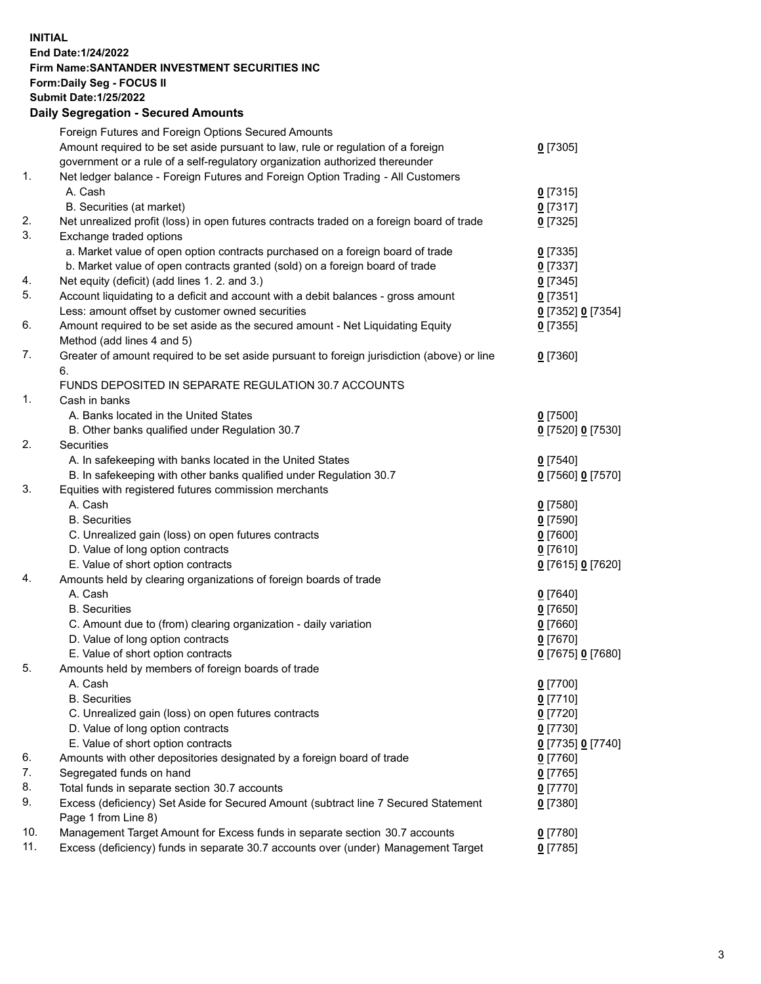## **INITIAL End Date:1/24/2022 Firm Name:SANTANDER INVESTMENT SECURITIES INC Form:Daily Seg - FOCUS II Submit Date:1/25/2022 Daily Segregation - Secured Amounts**

|     | Foreign Futures and Foreign Options Secured Amounts                                         |                   |
|-----|---------------------------------------------------------------------------------------------|-------------------|
|     | Amount required to be set aside pursuant to law, rule or regulation of a foreign            | $0$ [7305]        |
|     | government or a rule of a self-regulatory organization authorized thereunder                |                   |
| 1.  | Net ledger balance - Foreign Futures and Foreign Option Trading - All Customers             |                   |
|     | A. Cash                                                                                     | $0$ [7315]        |
|     | B. Securities (at market)                                                                   | $0$ [7317]        |
| 2.  | Net unrealized profit (loss) in open futures contracts traded on a foreign board of trade   | $0$ [7325]        |
| 3.  | Exchange traded options                                                                     |                   |
|     | a. Market value of open option contracts purchased on a foreign board of trade              | $0$ [7335]        |
|     | b. Market value of open contracts granted (sold) on a foreign board of trade                | $0$ [7337]        |
| 4.  | Net equity (deficit) (add lines 1. 2. and 3.)                                               | $0$ [7345]        |
| 5.  | Account liquidating to a deficit and account with a debit balances - gross amount           | $0$ [7351]        |
|     | Less: amount offset by customer owned securities                                            | 0 [7352] 0 [7354] |
| 6.  | Amount required to be set aside as the secured amount - Net Liquidating Equity              | $0$ [7355]        |
|     | Method (add lines 4 and 5)                                                                  |                   |
| 7.  | Greater of amount required to be set aside pursuant to foreign jurisdiction (above) or line | $0$ [7360]        |
|     | 6.                                                                                          |                   |
|     | FUNDS DEPOSITED IN SEPARATE REGULATION 30.7 ACCOUNTS                                        |                   |
| 1.  | Cash in banks                                                                               |                   |
|     | A. Banks located in the United States                                                       | $0$ [7500]        |
|     | B. Other banks qualified under Regulation 30.7                                              | 0 [7520] 0 [7530] |
| 2.  | Securities                                                                                  |                   |
|     | A. In safekeeping with banks located in the United States                                   | $0$ [7540]        |
|     | B. In safekeeping with other banks qualified under Regulation 30.7                          | 0 [7560] 0 [7570] |
| 3.  | Equities with registered futures commission merchants                                       |                   |
|     | A. Cash                                                                                     | $0$ [7580]        |
|     | <b>B.</b> Securities                                                                        | $0$ [7590]        |
|     | C. Unrealized gain (loss) on open futures contracts                                         | $0$ [7600]        |
|     | D. Value of long option contracts                                                           | $0$ [7610]        |
|     | E. Value of short option contracts                                                          | 0 [7615] 0 [7620] |
| 4.  | Amounts held by clearing organizations of foreign boards of trade                           |                   |
|     | A. Cash                                                                                     | $0$ [7640]        |
|     | <b>B.</b> Securities                                                                        | $0$ [7650]        |
|     | C. Amount due to (from) clearing organization - daily variation                             | $0$ [7660]        |
|     | D. Value of long option contracts                                                           | $0$ [7670]        |
|     | E. Value of short option contracts                                                          | 0 [7675] 0 [7680] |
| 5.  | Amounts held by members of foreign boards of trade                                          |                   |
|     | A. Cash                                                                                     | $0$ [7700]        |
|     | <b>B.</b> Securities                                                                        | $0$ [7710]        |
|     | C. Unrealized gain (loss) on open futures contracts                                         | $0$ [7720]        |
|     | D. Value of long option contracts                                                           | $0$ [7730]        |
|     | E. Value of short option contracts                                                          | 0 [7735] 0 [7740] |
| 6.  | Amounts with other depositories designated by a foreign board of trade                      | $0$ [7760]        |
| 7.  | Segregated funds on hand                                                                    | $0$ [7765]        |
| 8.  | Total funds in separate section 30.7 accounts                                               | $0$ [7770]        |
| 9.  | Excess (deficiency) Set Aside for Secured Amount (subtract line 7 Secured Statement         | $0$ [7380]        |
|     | Page 1 from Line 8)                                                                         |                   |
| 10. | Management Target Amount for Excess funds in separate section 30.7 accounts                 | $0$ [7780]        |
| 11. | Excess (deficiency) funds in separate 30.7 accounts over (under) Management Target          | $0$ [7785]        |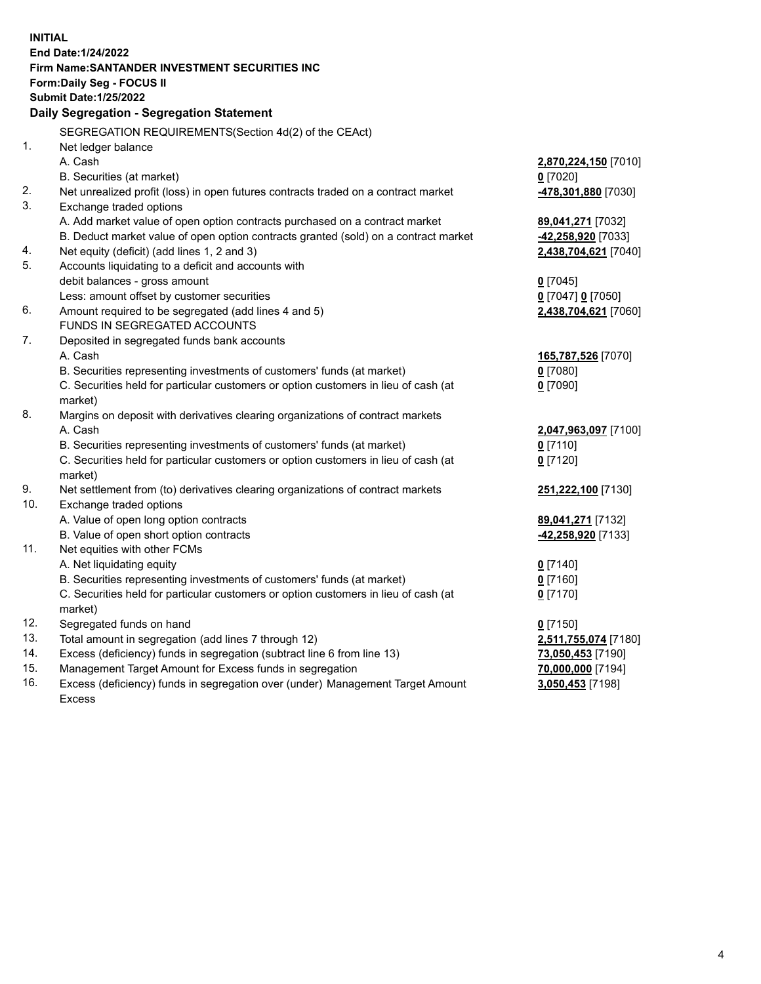| <b>INITIAL</b> |                                                                                                                                                               |                      |  |  |
|----------------|---------------------------------------------------------------------------------------------------------------------------------------------------------------|----------------------|--|--|
|                | End Date: 1/24/2022                                                                                                                                           |                      |  |  |
|                | Firm Name: SANTANDER INVESTMENT SECURITIES INC                                                                                                                |                      |  |  |
|                | Form: Daily Seg - FOCUS II                                                                                                                                    |                      |  |  |
|                | <b>Submit Date: 1/25/2022</b>                                                                                                                                 |                      |  |  |
|                | Daily Segregation - Segregation Statement                                                                                                                     |                      |  |  |
|                | SEGREGATION REQUIREMENTS(Section 4d(2) of the CEAct)                                                                                                          |                      |  |  |
| 1.             | Net ledger balance                                                                                                                                            |                      |  |  |
|                | A. Cash                                                                                                                                                       | 2,870,224,150 [7010] |  |  |
|                |                                                                                                                                                               |                      |  |  |
| 2.             | B. Securities (at market)                                                                                                                                     | $0$ [7020]           |  |  |
| 3.             | Net unrealized profit (loss) in open futures contracts traded on a contract market                                                                            | 478,301,880 [7030]   |  |  |
|                | Exchange traded options                                                                                                                                       |                      |  |  |
|                | A. Add market value of open option contracts purchased on a contract market                                                                                   | 89,041,271 [7032]    |  |  |
|                | B. Deduct market value of open option contracts granted (sold) on a contract market                                                                           | -42,258,920 [7033]   |  |  |
| 4.<br>5.       | Net equity (deficit) (add lines 1, 2 and 3)                                                                                                                   | 2,438,704,621 [7040] |  |  |
|                | Accounts liquidating to a deficit and accounts with                                                                                                           |                      |  |  |
|                | debit balances - gross amount                                                                                                                                 | $0$ [7045]           |  |  |
|                | Less: amount offset by customer securities                                                                                                                    | 0 [7047] 0 [7050]    |  |  |
| 6.             | Amount required to be segregated (add lines 4 and 5)                                                                                                          | 2,438,704,621 [7060] |  |  |
| 7.             | FUNDS IN SEGREGATED ACCOUNTS                                                                                                                                  |                      |  |  |
|                | Deposited in segregated funds bank accounts                                                                                                                   |                      |  |  |
|                | A. Cash                                                                                                                                                       | 165,787,526 [7070]   |  |  |
|                | B. Securities representing investments of customers' funds (at market)                                                                                        | $0$ [7080]           |  |  |
|                | C. Securities held for particular customers or option customers in lieu of cash (at                                                                           | $0$ [7090]           |  |  |
| 8.             | market)                                                                                                                                                       |                      |  |  |
|                | Margins on deposit with derivatives clearing organizations of contract markets<br>A. Cash                                                                     |                      |  |  |
|                |                                                                                                                                                               | 2,047,963,097 [7100] |  |  |
|                | B. Securities representing investments of customers' funds (at market)                                                                                        | $0$ [7110]           |  |  |
|                | C. Securities held for particular customers or option customers in lieu of cash (at                                                                           | $0$ [7120]           |  |  |
| 9.             | market)                                                                                                                                                       |                      |  |  |
| 10.            | Net settlement from (to) derivatives clearing organizations of contract markets                                                                               | 251,222,100 [7130]   |  |  |
|                | Exchange traded options                                                                                                                                       |                      |  |  |
|                | A. Value of open long option contracts                                                                                                                        | 89,041,271 [7132]    |  |  |
| 11.            | B. Value of open short option contracts                                                                                                                       | -42,258,920 [7133]   |  |  |
|                | Net equities with other FCMs                                                                                                                                  |                      |  |  |
|                | A. Net liquidating equity                                                                                                                                     | $0$ [7140]           |  |  |
|                | B. Securities representing investments of customers' funds (at market)<br>C. Securities held for particular customers or option customers in lieu of cash (at | $0$ [7160]           |  |  |
|                |                                                                                                                                                               | $0$ [7170]           |  |  |
| 12.            | market)<br>Segregated funds on hand                                                                                                                           |                      |  |  |
| 13.            |                                                                                                                                                               | $0$ [7150]           |  |  |
| 14.            | Total amount in segregation (add lines 7 through 12)                                                                                                          | 2,511,755,074 [7180] |  |  |
| 15.            | Excess (deficiency) funds in segregation (subtract line 6 from line 13)<br>Management Target Amount for Excess funds in segregation                           | 73,050,453 [7190]    |  |  |
| 16.            | Excess (deficiency) funds in segregation over (under) Management Target Amount                                                                                | 70,000,000 [7194]    |  |  |
|                | <b>Excess</b>                                                                                                                                                 | 3,050,453 [7198]     |  |  |
|                |                                                                                                                                                               |                      |  |  |